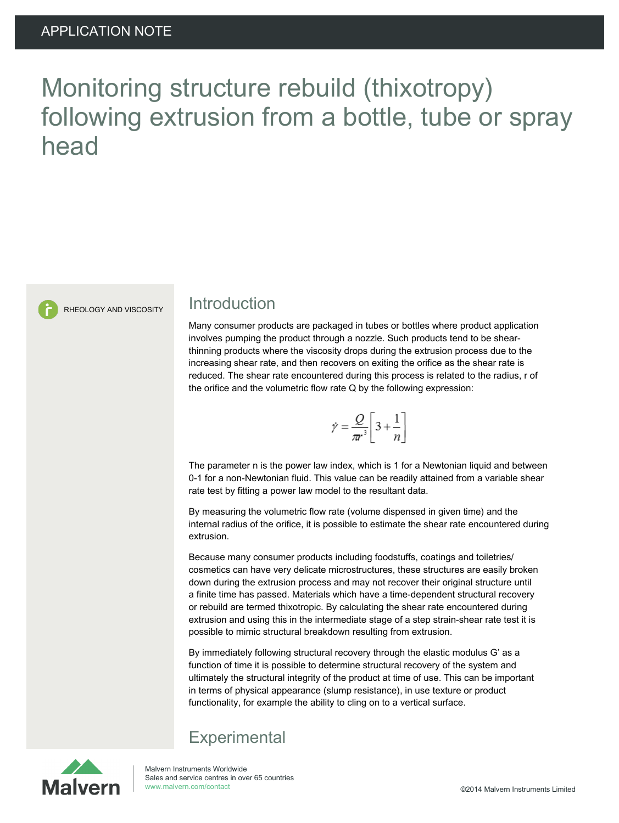# Monitoring structure rebuild (thixotropy) following extrusion from a bottle, tube or spray head



#### RHEOLOGY AND VISCOSITY Introduction

Many consumer products are packaged in tubes or bottles where product application involves pumping the product through a nozzle. Such products tend to be shearthinning products where the viscosity drops during the extrusion process due to the increasing shear rate, and then recovers on exiting the orifice as the shear rate is reduced. The shear rate encountered during this process is related to the radius, r of the orifice and the volumetric flow rate Q by the following expression:

$$
\dot{\gamma} = \frac{Q}{\pi r^3} \left[ 3 + \frac{1}{n} \right]
$$

The parameter n is the power law index, which is 1 for a Newtonian liquid and between 0-1 for a non-Newtonian fluid. This value can be readily attained from a variable shear rate test by fitting a power law model to the resultant data.

By measuring the volumetric flow rate (volume dispensed in given time) and the internal radius of the orifice, it is possible to estimate the shear rate encountered during extrusion.

Because many consumer products including foodstuffs, coatings and toiletries/ cosmetics can have very delicate microstructures, these structures are easily broken down during the extrusion process and may not recover their original structure until a finite time has passed. Materials which have a time-dependent structural recovery or rebuild are termed thixotropic. By calculating the shear rate encountered during extrusion and using this in the intermediate stage of a step strain-shear rate test it is possible to mimic structural breakdown resulting from extrusion.

By immediately following structural recovery through the elastic modulus G' as a function of time it is possible to determine structural recovery of the system and ultimately the structural integrity of the product at time of use. This can be important in terms of physical appearance (slump resistance), in use texture or product functionality, for example the ability to cling on to a vertical surface.

### **Experimental**

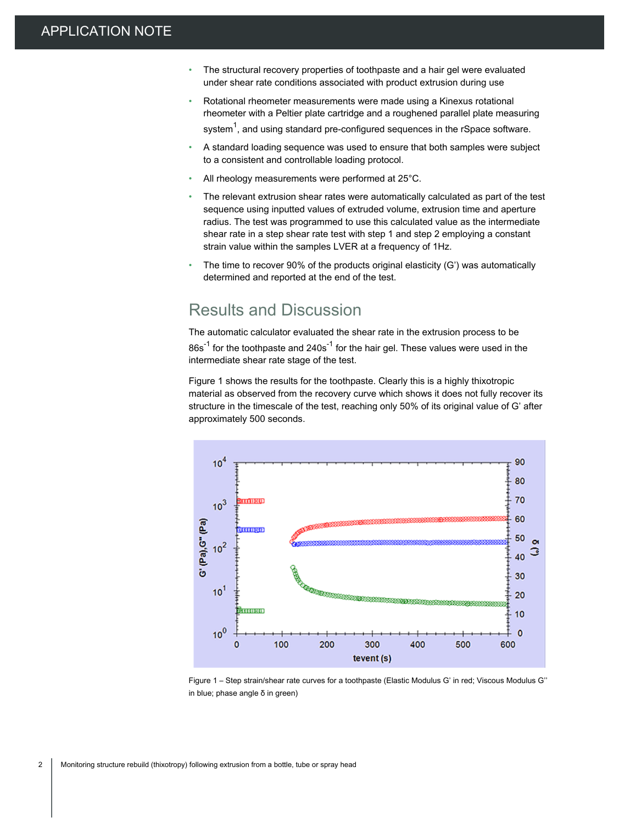- The structural recovery properties of toothpaste and a hair gel were evaluated under shear rate conditions associated with product extrusion during use
- Rotational rheometer measurements were made using a Kinexus rotational rheometer with a Peltier plate cartridge and a roughened parallel plate measuring system $^{\mathsf{1}},$  and using standard pre-configured sequences in the rSpace software.
- A standard loading sequence was used to ensure that both samples were subject to a consistent and controllable loading protocol.
- All rheology measurements were performed at 25°C.
- The relevant extrusion shear rates were automatically calculated as part of the test sequence using inputted values of extruded volume, extrusion time and aperture radius. The test was programmed to use this calculated value as the intermediate shear rate in a step shear rate test with step 1 and step 2 employing a constant strain value within the samples LVER at a frequency of 1Hz.
- The time to recover 90% of the products original elasticity (G') was automatically determined and reported at the end of the test.

#### Results and Discussion

The automatic calculator evaluated the shear rate in the extrusion process to be  $86s<sup>-1</sup>$  for the toothpaste and  $240s<sup>-1</sup>$  for the hair gel. These values were used in the intermediate shear rate stage of the test.

Figure 1 shows the results for the toothpaste. Clearly this is a highly thixotropic material as observed from the recovery curve which shows it does not fully recover its structure in the timescale of the test, reaching only 50% of its original value of G' after approximately 500 seconds.



Figure 1 – Step strain/shear rate curves for a toothpaste (Elastic Modulus G' in red; Viscous Modulus G'' in blue; phase angle δ in green)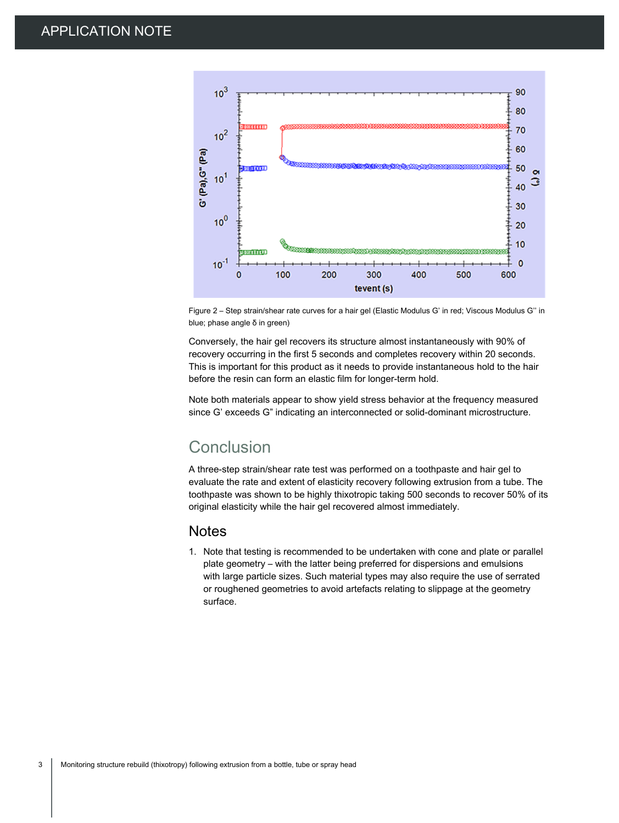

Figure 2 – Step strain/shear rate curves for a hair gel (Elastic Modulus G' in red; Viscous Modulus G'' in blue; phase angle δ in green)

Conversely, the hair gel recovers its structure almost instantaneously with 90% of recovery occurring in the first 5 seconds and completes recovery within 20 seconds. This is important for this product as it needs to provide instantaneous hold to the hair before the resin can form an elastic film for longer-term hold.

Note both materials appear to show yield stress behavior at the frequency measured since G' exceeds G" indicating an interconnected or solid-dominant microstructure.

#### Conclusion

A three-step strain/shear rate test was performed on a toothpaste and hair gel to evaluate the rate and extent of elasticity recovery following extrusion from a tube. The toothpaste was shown to be highly thixotropic taking 500 seconds to recover 50% of its original elasticity while the hair gel recovered almost immediately.

#### **Notes**

1. Note that testing is recommended to be undertaken with cone and plate or parallel plate geometry – with the latter being preferred for dispersions and emulsions with large particle sizes. Such material types may also require the use of serrated or roughened geometries to avoid artefacts relating to slippage at the geometry surface.